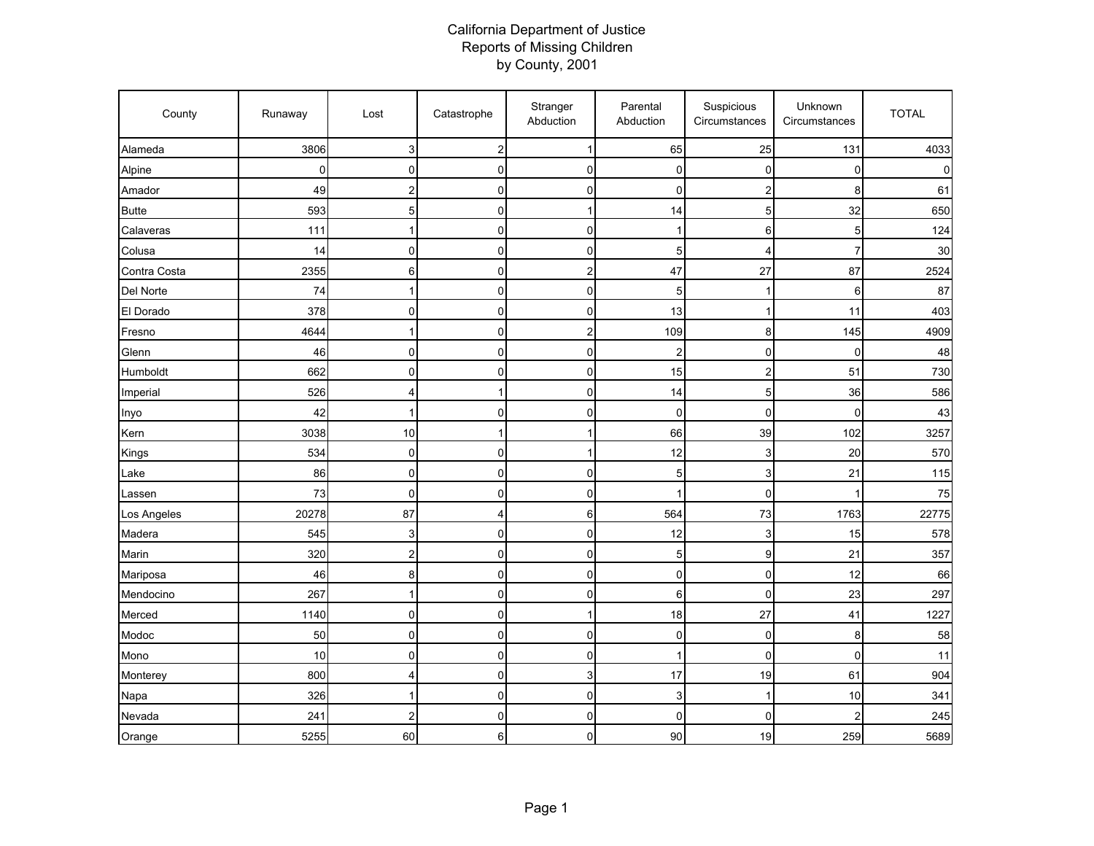## California Department of Justice Reports of Missing Children by County, 2001

| County       | Runaway | Lost             | Catastrophe    | Stranger<br>Abduction     | Parental<br>Abduction | Suspicious<br>Circumstances | Unknown<br>Circumstances | <b>TOTAL</b> |
|--------------|---------|------------------|----------------|---------------------------|-----------------------|-----------------------------|--------------------------|--------------|
| Alameda      | 3806    | 3                | $\overline{2}$ | $\mathbf{1}$              | 65                    | 25                          | 131                      | 4033         |
| Alpine       | 0       | $\mathbf 0$      | $\mathbf 0$    | $\mathbf 0$               | $\mathbf 0$           | $\overline{0}$              | 0                        |              |
| Amador       | 49      | 2                | $\mathsf 0$    | $\pmb{0}$                 | $\mathbf 0$           | $\overline{c}$              | 8                        | 61           |
| <b>Butte</b> | 593     | 5                | $\pmb{0}$      | 1                         | 14                    | 5                           | 32                       | 650          |
| Calaveras    | 111     | 1                | $\mathsf 0$    | $\mathbf 0$               | $\mathbf{1}$          | 6                           | 5                        | 124          |
| Colusa       | 14      | $\mathbf 0$      | $\mathbf 0$    | 0                         | 5                     | $\overline{4}$              | $\overline{7}$           | 30           |
| Contra Costa | 2355    | 6                | $\mathsf 0$    | $\overline{c}$            | 47                    | 27                          | 87                       | 2524         |
| Del Norte    | 74      | 1                | $\mathbf 0$    | $\pmb{0}$                 | 5                     | 1                           | 6                        | 87           |
| El Dorado    | 378     | $\mathsf 0$      | $\pmb{0}$      | $\pmb{0}$                 | 13                    | $\mathbf{1}$                | 11                       | 403          |
| Fresno       | 4644    | 1                | $\mathbf 0$    | $\boldsymbol{2}$          | 109                   | 8                           | 145                      | 4909         |
| Glenn        | 46      | $\mathbf 0$      | $\mathbf 0$    | 0                         | $\overline{2}$        | $\mathbf 0$                 | $\mathbf 0$              | 48           |
| Humboldt     | 662     | $\mathbf 0$      | $\pmb{0}$      | $\pmb{0}$                 | 15                    | $\overline{c}$              | 51                       | 730          |
| Imperial     | 526     | 4                | $\mathbf{1}$   | $\pmb{0}$                 | 14                    | $\overline{5}$              | 36                       | 586          |
| Inyo         | 42      | 1                | 0              | 0                         | $\mathbf 0$           | $\mathbf 0$                 | 0                        | 43           |
| Kern         | 3038    | 10               | $\mathbf{1}$   | $\mathbf{1}$              | 66                    | 39                          | 102                      | 3257         |
| Kings        | 534     | $\mathsf 0$      | $\mathsf 0$    | 1                         | 12                    | 3                           | 20                       | 570          |
| Lake         | 86      | 0                | $\Omega$       | 0                         | 5                     | 3                           | 21                       | 115          |
| Lassen       | 73      | 0                | 0              | $\mathbf 0$               | -1                    | $\mathbf 0$                 | 1                        | 75           |
| Los Angeles  | 20278   | 87               | 4              | $\,6$                     | 564                   | 73                          | 1763                     | 22775        |
| Madera       | 545     | 3                | $\pmb{0}$      | $\pmb{0}$                 | 12                    | 3                           | 15                       | 578          |
| Marin        | 320     | $\boldsymbol{2}$ | $\mathsf 0$    | $\mathbf 0$               | 5                     | $\boldsymbol{9}$            | 21                       | 357          |
| Mariposa     | 46      | 8                | $\mathsf 0$    | $\pmb{0}$                 | $\mathbf 0$           | $\mathbf 0$                 | 12                       | 66           |
| Mendocino    | 267     | 1                | $\mathsf 0$    | $\mathbf 0$               | 6                     | $\pmb{0}$                   | 23                       | 297          |
| Merced       | 1140    | $\mathsf 0$      | 0              | 1                         | 18                    | 27                          | 41                       | 1227         |
| Modoc        | 50      | 0                | $\mathsf 0$    | $\pmb{0}$                 | $\mathbf 0$           | $\mathbf 0$                 | 8                        | 58           |
| Mono         | 10      | 0                | 0              | 0                         | 1                     | $\mathbf 0$                 | 0                        | 11           |
| Monterey     | 800     | 4                | $\mathsf 0$    | $\ensuremath{\mathsf{3}}$ | 17                    | 19                          | 61                       | 904          |
| Napa         | 326     | 1                | $\mathsf 0$    | $\pmb{0}$                 | 3                     | $\mathbf{1}$                | 10                       | 341          |
| Nevada       | 241     | $\overline{2}$   | $\mathsf 0$    | $\mathbf 0$               | $\mathbf 0$           | $\mathbf 0$                 | $\overline{2}$           | 245          |
| Orange       | 5255    | 60               | 6              | $\mathbf 0$               | 90                    | 19                          | 259                      | 5689         |